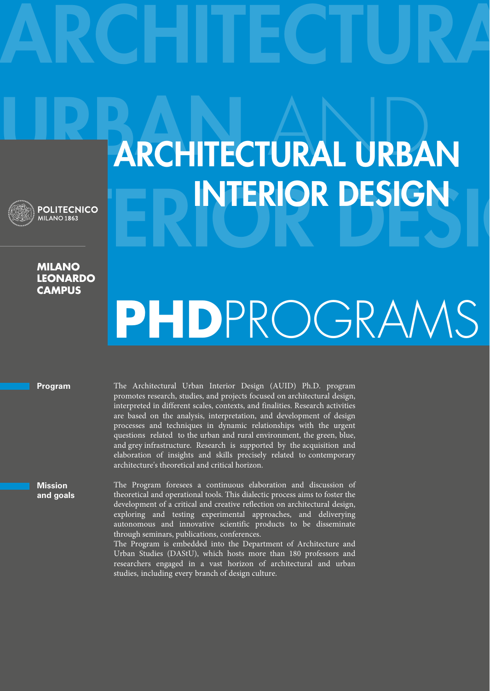**Milano Leonardo Campus**

## URBAN ARCHITECTURAL URBAN **Explorering Design Collective**

**ARCHITECTURA** 

## **PhD**ProgramS

**Program**

**Mission and goals** The Architectural Urban Interior Design (AUID) Ph.D. program promotes research, studies, and projects focused on architectural design, interpreted in different scales, contexts, and finalities. Research activities are based on the analysis, interpretation, and development of design processes and techniques in dynamic relationships with the urgent questions related to the urban and rural environment, the green, blue, and grey infrastructure. Research is supported by the acquisition and elaboration of insights and skills precisely related to contemporary architecture's theoretical and critical horizon.

The Program foresees a continuous elaboration and discussion of theoretical and operational tools. This dialectic process aims to foster the development of a critical and creative reflection on architectural design, exploring and testing experimental approaches, and deliverying autonomous and innovative scientific products to be disseminate through seminars, publications, conferences.

The Program is embedded into the Department of Architecture and Urban Studies (DAStU), which hosts more than 180 professors and researchers engaged in a vast horizon of architectural and urban studies, including every branch of design culture.